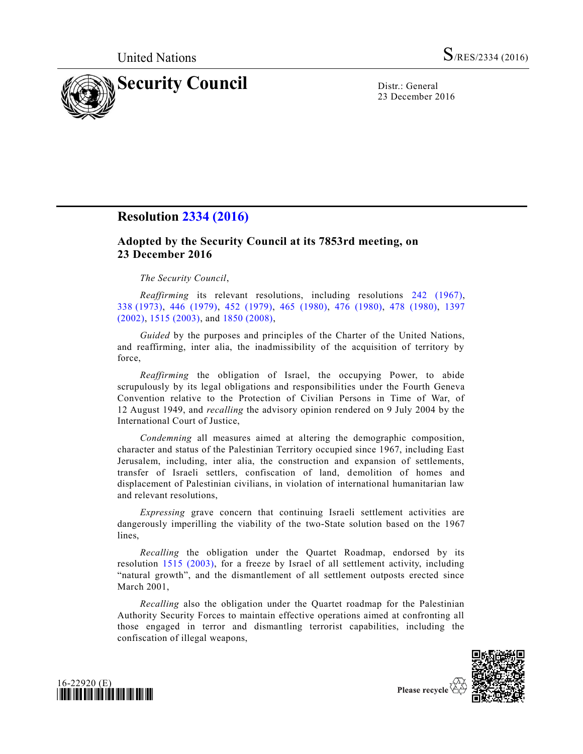

23 December 2016

## **Resolution [2334 \(2016\)](http://undocs.org/S/RES/2334(2016))**

## **Adopted by the Security Council at its 7853rd meeting, on 23 December 2016**

*The Security Council*,

*Reaffirming* its relevant resolutions, including resolutions [242 \(1967\),](http://undocs.org/S/RES/242(1967)) 338 [\(1973\),](http://undocs.org/S/RES/338(1973)) [446 \(1979\),](http://undocs.org/S/RES/446(1979)) [452 \(1979\),](http://undocs.org/S/RES/452(1979)) [465 \(1980\),](http://undocs.org/S/RES/465(1980)) [476 \(1980\),](http://undocs.org/S/RES/476(1980)) [478 \(1980\),](http://undocs.org/S/RES/478(1980)) [1397](http://undocs.org/S/RES/1397(2002))  [\(2002\),](http://undocs.org/S/RES/1397(2002)) [1515 \(2003\),](http://undocs.org/S/RES/1515(2003)) and [1850 \(2008\),](http://undocs.org/S/RES/1850(2008))

*Guided* by the purposes and principles of the Charter of the United Nations, and reaffirming, inter alia, the inadmissibility of the acquisition of territory by force,

*Reaffirming* the obligation of Israel, the occupying Power, to abide scrupulously by its legal obligations and responsibilities under the Fourth Geneva Convention relative to the Protection of Civilian Persons in Time of War, of 12 August 1949, and *recalling* the advisory opinion rendered on 9 July 2004 by the International Court of Justice,

*Condemning* all measures aimed at altering the demographic composition, character and status of the Palestinian Territory occupied since 1967, including East Jerusalem, including, inter alia, the construction and expansion of settlements, transfer of Israeli settlers, confiscation of land, demolition of homes and displacement of Palestinian civilians, in violation of international humanitarian law and relevant resolutions,

*Expressing* grave concern that continuing Israeli settlement activities are dangerously imperilling the viability of the two-State solution based on the 1967 lines,

*Recalling* the obligation under the Quartet Roadmap, endorsed by its resolution [1515 \(2003\),](http://undocs.org/S/RES/1515(2003)) for a freeze by Israel of all settlement activity, including "natural growth", and the dismantlement of all settlement outposts erected since March 2001,

*Recalling* also the obligation under the Quartet roadmap for the Palestinian Authority Security Forces to maintain effective operations aimed at confronting all those engaged in terror and dismantling terrorist capabilities, including the confiscation of illegal weapons,



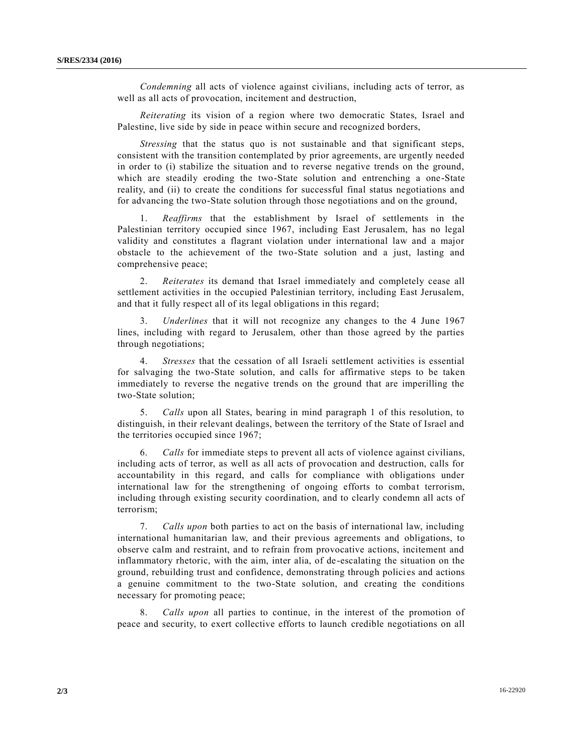*Condemning* all acts of violence against civilians, including acts of terror, as well as all acts of provocation, incitement and destruction,

*Reiterating* its vision of a region where two democratic States, Israel and Palestine, live side by side in peace within secure and recognized borders,

*Stressing* that the status quo is not sustainable and that significant steps, consistent with the transition contemplated by prior agreements, are urgently needed in order to (i) stabilize the situation and to reverse negative trends on the ground, which are steadily eroding the two-State solution and entrenching a one-State reality, and (ii) to create the conditions for successful final status negotiations and for advancing the two-State solution through those negotiations and on the ground,

1. *Reaffirms* that the establishment by Israel of settlements in the Palestinian territory occupied since 1967, including East Jerusalem, has no legal validity and constitutes a flagrant violation under international law and a major obstacle to the achievement of the two-State solution and a just, lasting and comprehensive peace;

2. *Reiterates* its demand that Israel immediately and completely cease all settlement activities in the occupied Palestinian territory, including East Jerusalem, and that it fully respect all of its legal obligations in this regard;

3. *Underlines* that it will not recognize any changes to the 4 June 1967 lines, including with regard to Jerusalem, other than those agreed by the parties through negotiations;

4. *Stresses* that the cessation of all Israeli settlement activities is essential for salvaging the two-State solution, and calls for affirmative steps to be taken immediately to reverse the negative trends on the ground that are imperilling the two-State solution;

5. *Calls* upon all States, bearing in mind paragraph 1 of this resolution, to distinguish, in their relevant dealings, between the territory of the State of Israel and the territories occupied since 1967;

6. *Calls* for immediate steps to prevent all acts of violence against civilians, including acts of terror, as well as all acts of provocation and destruction, calls for accountability in this regard, and calls for compliance with obligations under international law for the strengthening of ongoing efforts to combat terrorism, including through existing security coordination, and to clearly condemn all acts of terrorism;

7. *Calls upon* both parties to act on the basis of international law, including international humanitarian law, and their previous agreements and obligations, to observe calm and restraint, and to refrain from provocative actions, incitement and inflammatory rhetoric, with the aim, inter alia, of de-escalating the situation on the ground, rebuilding trust and confidence, demonstrating through policies and actions a genuine commitment to the two-State solution, and creating the conditions necessary for promoting peace;

8. *Calls upon* all parties to continue, in the interest of the promotion of peace and security, to exert collective efforts to launch credible negotiations on all